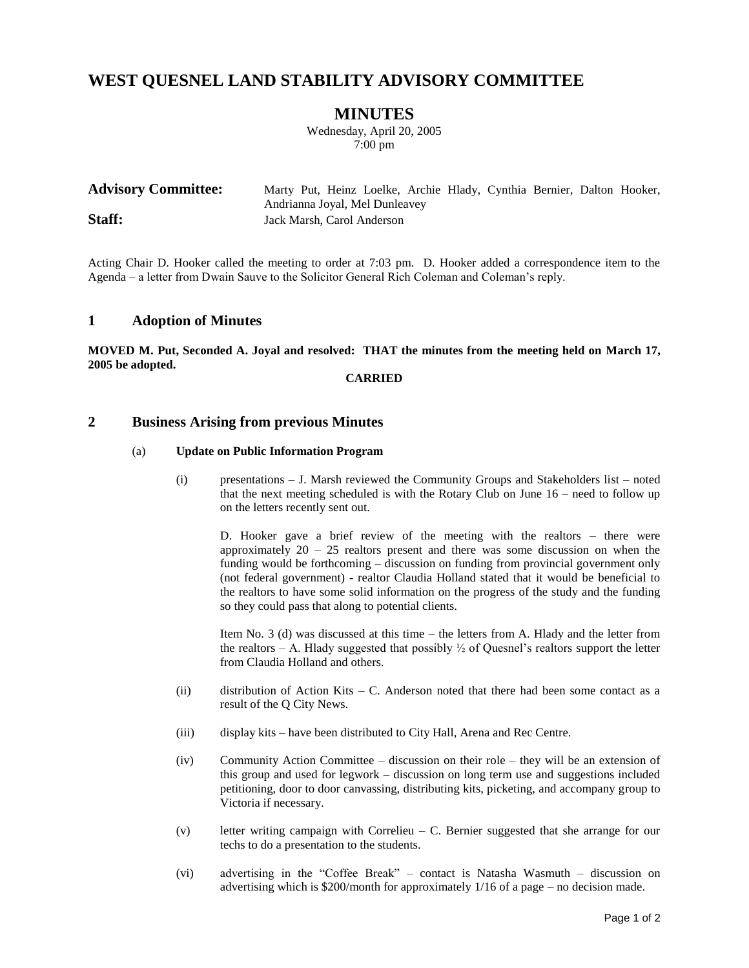# **WEST QUESNEL LAND STABILITY ADVISORY COMMITTEE**

## **MINUTES**

Wednesday, April 20, 2005 7:00 pm

| <b>Advisory Committee:</b> | Marty Put, Heinz Loelke, Archie Hlady, Cynthia Bernier, Dalton Hooker, |  |  |  |  |  |  |  |
|----------------------------|------------------------------------------------------------------------|--|--|--|--|--|--|--|
|                            | Andrianna Joyal, Mel Dunleavey                                         |  |  |  |  |  |  |  |
| Staff:                     | Jack Marsh, Carol Anderson                                             |  |  |  |  |  |  |  |

Acting Chair D. Hooker called the meeting to order at 7:03 pm. D. Hooker added a correspondence item to the Agenda – a letter from Dwain Sauve to the Solicitor General Rich Coleman and Coleman's reply.

### **1 Adoption of Minutes**

**MOVED M. Put, Seconded A. Joyal and resolved: THAT the minutes from the meeting held on March 17, 2005 be adopted.**

### **CARRIED**

### **2 Business Arising from previous Minutes**

#### (a) **Update on Public Information Program**

(i) presentations – J. Marsh reviewed the Community Groups and Stakeholders list – noted that the next meeting scheduled is with the Rotary Club on June 16 – need to follow up on the letters recently sent out.

D. Hooker gave a brief review of the meeting with the realtors – there were approximately  $20 - 25$  realtors present and there was some discussion on when the funding would be forthcoming – discussion on funding from provincial government only (not federal government) - realtor Claudia Holland stated that it would be beneficial to the realtors to have some solid information on the progress of the study and the funding so they could pass that along to potential clients.

Item No. 3 (d) was discussed at this time – the letters from A. Hlady and the letter from the realtors – A. Hlady suggested that possibly  $\frac{1}{2}$  of Quesnel's realtors support the letter from Claudia Holland and others.

- $(i)$  distribution of Action Kits C. Anderson noted that there had been some contact as a result of the Q City News.
- (iii) display kits have been distributed to City Hall, Arena and Rec Centre.
- (iv) Community Action Committee discussion on their role they will be an extension of this group and used for legwork – discussion on long term use and suggestions included petitioning, door to door canvassing, distributing kits, picketing, and accompany group to Victoria if necessary.
- (v) letter writing campaign with Correlieu C. Bernier suggested that she arrange for our techs to do a presentation to the students.
- (vi) advertising in the "Coffee Break" contact is Natasha Wasmuth discussion on advertising which is \$200/month for approximately 1/16 of a page – no decision made.